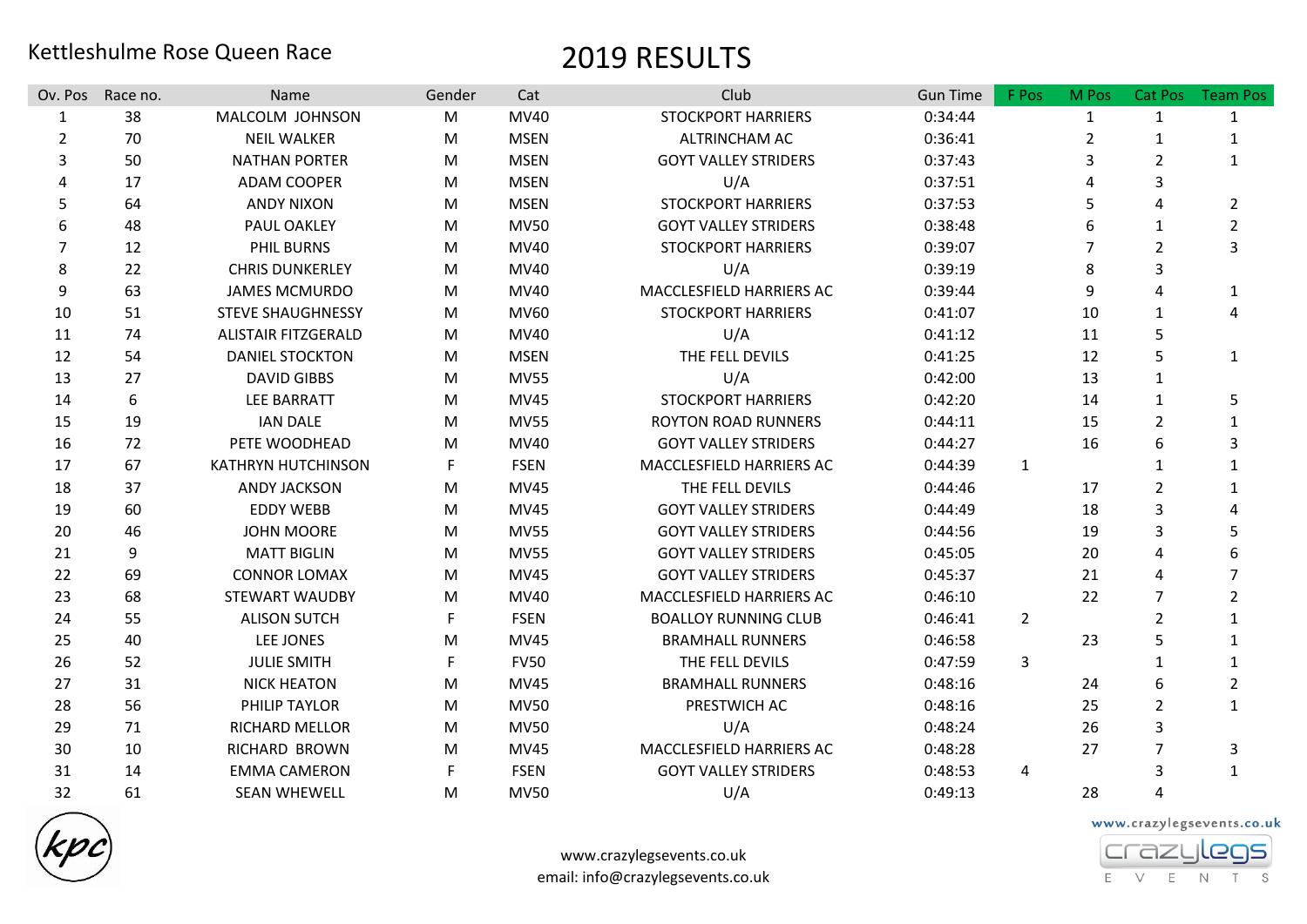## Kettleshulme Rose Queen Race 2019 RESULTS

| Ov. Pos          | Race no. | <b>Name</b>                | Gender | Cat         | Club                        | <b>Gun Time</b> | F Pos          | M Pos          | Cat Pos        | <b>Team Pos</b> |
|------------------|----------|----------------------------|--------|-------------|-----------------------------|-----------------|----------------|----------------|----------------|-----------------|
| $\mathbf{1}$     | 38       | MALCOLM JOHNSON            | M      | MV40        | <b>STOCKPORT HARRIERS</b>   | 0:34:44         |                | $\mathbf{1}$   | 1              | $\mathbf{1}$    |
| $\overline{2}$   | 70       | <b>NEIL WALKER</b>         | M      | <b>MSEN</b> | ALTRINCHAM AC               | 0:36:41         |                | 2              | 1              | 1               |
| 3                | 50       | <b>NATHAN PORTER</b>       | M      | <b>MSEN</b> | <b>GOYT VALLEY STRIDERS</b> | 0:37:43         |                | 3              | $\overline{2}$ | 1               |
| $\Delta$         | 17       | <b>ADAM COOPER</b>         | M      | <b>MSEN</b> | U/A                         | 0:37:51         |                |                | 3              |                 |
| 5                | 64       | <b>ANDY NIXON</b>          | M      | <b>MSEN</b> | <b>STOCKPORT HARRIERS</b>   | 0:37:53         |                | 5              | 4              | $\overline{2}$  |
| 6                | 48       | PAUL OAKLEY                | M      | <b>MV50</b> | <b>GOYT VALLEY STRIDERS</b> | 0:38:48         |                | 6              | 1              | $\overline{2}$  |
| 7                | 12       | PHIL BURNS                 | M      | <b>MV40</b> | <b>STOCKPORT HARRIERS</b>   | 0:39:07         |                | $\overline{7}$ | $\overline{2}$ | 3               |
| 8                | 22       | <b>CHRIS DUNKERLEY</b>     | M      | MV40        | U/A                         | 0:39:19         |                | 8              | 3              |                 |
| $\boldsymbol{9}$ | 63       | <b>JAMES MCMURDO</b>       | M      | <b>MV40</b> | MACCLESFIELD HARRIERS AC    | 0:39:44         |                | 9              | 4              | $\mathbf{1}$    |
| 10               | 51       | <b>STEVE SHAUGHNESSY</b>   | M      | MV60        | <b>STOCKPORT HARRIERS</b>   | 0:41:07         |                | 10             | 1              | 4               |
| 11               | 74       | <b>ALISTAIR FITZGERALD</b> | M      | <b>MV40</b> | U/A                         | 0:41:12         |                | 11             | 5              |                 |
| 12               | 54       | <b>DANIEL STOCKTON</b>     | M      | <b>MSEN</b> | THE FELL DEVILS             | 0:41:25         |                | 12             | 5              | $\mathbf{1}$    |
| 13               | 27       | <b>DAVID GIBBS</b>         | M      | <b>MV55</b> | U/A                         | 0:42:00         |                | 13             | $\mathbf{1}$   |                 |
| 14               | 6        | <b>LEE BARRATT</b>         | M      | <b>MV45</b> | <b>STOCKPORT HARRIERS</b>   | 0:42:20         |                | 14             | $\mathbf{1}$   | 5               |
| 15               | 19       | <b>IAN DALE</b>            | M      | <b>MV55</b> | <b>ROYTON ROAD RUNNERS</b>  | 0:44:11         |                | 15             | $\overline{2}$ | $\mathbf{1}$    |
| 16               | 72       | PETE WOODHEAD              | M      | MV40        | <b>GOYT VALLEY STRIDERS</b> | 0:44:27         |                | 16             | 6              | 3               |
| 17               | 67       | <b>KATHRYN HUTCHINSON</b>  | F.     | <b>FSEN</b> | MACCLESFIELD HARRIERS AC    | 0:44:39         | $\mathbf{1}$   |                | 1              |                 |
| 18               | 37       | <b>ANDY JACKSON</b>        | M      | <b>MV45</b> | THE FELL DEVILS             | 0:44:46         |                | 17             | $\overline{2}$ | 1               |
| 19               | 60       | <b>EDDY WEBB</b>           | M      | <b>MV45</b> | <b>GOYT VALLEY STRIDERS</b> | 0:44:49         |                | 18             | 3              | Δ               |
| 20               | 46       | <b>JOHN MOORE</b>          | M      | <b>MV55</b> | <b>GOYT VALLEY STRIDERS</b> | 0:44:56         |                | 19             | 3              | 5               |
| 21               | 9        | <b>MATT BIGLIN</b>         | M      | <b>MV55</b> | <b>GOYT VALLEY STRIDERS</b> | 0:45:05         |                | 20             | 4              |                 |
| 22               | 69       | <b>CONNOR LOMAX</b>        | M      | <b>MV45</b> | <b>GOYT VALLEY STRIDERS</b> | 0:45:37         |                | 21             | 4              | 7               |
| 23               | 68       | <b>STEWART WAUDBY</b>      | M      | MV40        | MACCLESFIELD HARRIERS AC    | 0:46:10         |                | 22             | $\overline{7}$ | $\overline{2}$  |
| 24               | 55       | <b>ALISON SUTCH</b>        | F.     | <b>FSEN</b> | <b>BOALLOY RUNNING CLUB</b> | 0:46:41         | $\overline{2}$ |                | $\overline{2}$ | $\mathbf{1}$    |
| 25               | 40       | LEE JONES                  | M      | <b>MV45</b> | <b>BRAMHALL RUNNERS</b>     | 0:46:58         |                | 23             | 5              |                 |
| 26               | 52       | <b>JULIE SMITH</b>         | F.     | <b>FV50</b> | THE FELL DEVILS             | 0:47:59         | 3              |                | $\mathbf{1}$   | $\mathbf{1}$    |
| 27               | 31       | <b>NICK HEATON</b>         | M      | <b>MV45</b> | <b>BRAMHALL RUNNERS</b>     | 0:48:16         |                | 24             | 6              | $\overline{2}$  |
| 28               | 56       | PHILIP TAYLOR              | M      | <b>MV50</b> | PRESTWICH AC                | 0:48:16         |                | 25             | $\overline{2}$ | $\mathbf{1}$    |
| 29               | 71       | <b>RICHARD MELLOR</b>      | M      | <b>MV50</b> | U/A                         | 0:48:24         |                | 26             | 3              |                 |
| 30               | 10       | RICHARD BROWN              | M      | <b>MV45</b> | MACCLESFIELD HARRIERS AC    | 0:48:28         |                | 27             | $\overline{7}$ | 3               |
| 31               | 14       | <b>EMMA CAMERON</b>        | F      | <b>FSEN</b> | <b>GOYT VALLEY STRIDERS</b> | 0:48:53         | 4              |                | 3              | $\mathbf{1}$    |
| 32               | 61       | <b>SEAN WHEWELL</b>        | M      | <b>MV50</b> | U/A                         | 0:49:13         |                | 28             | 4              |                 |



www.crazylegsevents.co.uk